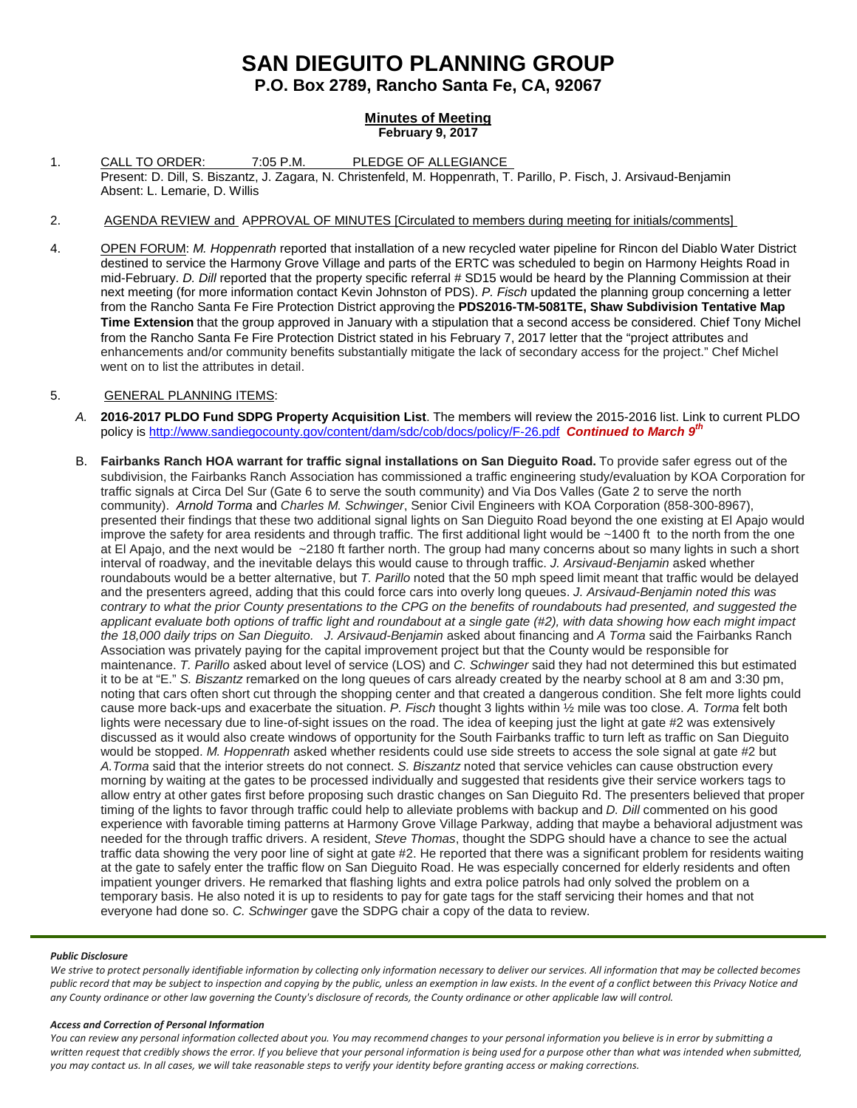# **SAN DIEGUITO PLANNING GROUP**

**P.O. Box 2789, Rancho Santa Fe, CA, 92067**

# **Minutes of Meeting February 9, 2017**

- 1. CALL TO ORDER: 7:05 P.M. PLEDGE OF ALLEGIANCE Present: D. Dill, S. Biszantz, J. Zagara, N. Christenfeld, M. Hoppenrath, T. Parillo, P. Fisch, J. Arsivaud-Benjamin Absent: L. Lemarie, D. Willis
- 2. AGENDA REVIEW and APPROVAL OF MINUTES [Circulated to members during meeting for initials/comments]
- 4. OPEN FORUM: *M. Hoppenrath* reported that installation of a new recycled water pipeline for Rincon del Diablo Water District destined to service the Harmony Grove Village and parts of the ERTC was scheduled to begin on Harmony Heights Road in mid-February. *D. Dill* reported that the property specific referral # SD15 would be heard by the Planning Commission at their next meeting (for more information contact Kevin Johnston of PDS). *P. Fisch* updated the planning group concerning a letter from the Rancho Santa Fe Fire Protection District approving the **PDS2016-TM-5081TE, Shaw Subdivision Tentative Map Time Extension** that the group approved in January with a stipulation that a second access be considered. Chief Tony Michel from the Rancho Santa Fe Fire Protection District stated in his February 7, 2017 letter that the "project attributes and enhancements and/or community benefits substantially mitigate the lack of secondary access for the project." Chef Michel went on to list the attributes in detail.

# 5. GENERAL PLANNING ITEMS:

- *A.* **2016-2017 PLDO Fund SDPG Property Acquisition List**. The members will review the 2015-2016 list. Link to current PLDO policy i[s http://www.sandiegocounty.gov/content/dam/sdc/cob/docs/policy/F-26.pdf](http://www.sandiegocounty.gov/content/dam/sdc/cob/docs/policy/F-26.pdf) *Continued to March 9th*
- B. **Fairbanks Ranch HOA warrant for traffic signal installations on San Dieguito Road.** To provide safer egress out of the subdivision, the Fairbanks Ranch Association has commissioned a traffic engineering study/evaluation by KOA Corporation for traffic signals at Circa Del Sur (Gate 6 to serve the south community) and Via Dos Valles (Gate 2 to serve the north community). *Arnold Torma* and *Charles M. Schwinger*, Senior Civil Engineers with KOA Corporation [\(858-300-8967\)](tel:(858)%20300-8967), presented their findings that these two additional signal lights on San Dieguito Road beyond the one existing at El Apajo would improve the safety for area residents and through traffic. The first additional light would be ~1400 ft to the north from the one at El Apajo, and the next would be  $\sim$ 2180 ft farther north. The group had many concerns about so many lights in such a short interval of roadway, and the inevitable delays this would cause to through traffic. *J. Arsivaud-Benjamin* asked whether roundabouts would be a better alternative, but *T. Parillo* noted that the 50 mph speed limit meant that traffic would be delayed and the presenters agreed, adding that this could force cars into overly long queues. *J. Arsivaud-Benjamin noted this was contrary to what the prior County presentations to the CPG on the benefits of roundabouts had presented, and suggested the applicant evaluate both options of traffic light and roundabout at a single gate (#2), with data showing how each might impact the 18,000 daily trips on San Dieguito. J. Arsivaud-Benjamin* asked about financing and *A Torma* said the Fairbanks Ranch Association was privately paying for the capital improvement project but that the County would be responsible for maintenance. *T. Parillo* asked about level of service (LOS) and *C. Schwinger* said they had not determined this but estimated it to be at "E." *S. Biszantz* remarked on the long queues of cars already created by the nearby school at 8 am and 3:30 pm, noting that cars often short cut through the shopping center and that created a dangerous condition. She felt more lights could cause more back-ups and exacerbate the situation. *P. Fisch* thought 3 lights within ½ mile was too close. *A. Torma* felt both lights were necessary due to line-of-sight issues on the road. The idea of keeping just the light at gate #2 was extensively discussed as it would also create windows of opportunity for the South Fairbanks traffic to turn left as traffic on San Dieguito would be stopped. *M. Hoppenrath* asked whether residents could use side streets to access the sole signal at gate #2 but *A.Torma* said that the interior streets do not connect. *S. Biszantz* noted that service vehicles can cause obstruction every morning by waiting at the gates to be processed individually and suggested that residents give their service workers tags to allow entry at other gates first before proposing such drastic changes on San Dieguito Rd. The presenters believed that proper timing of the lights to favor through traffic could help to alleviate problems with backup and *D. Dill* commented on his good experience with favorable timing patterns at Harmony Grove Village Parkway, adding that maybe a behavioral adjustment was needed for the through traffic drivers. A resident, *Steve Thomas*, thought the SDPG should have a chance to see the actual traffic data showing the very poor line of sight at gate #2. He reported that there was a significant problem for residents waiting at the gate to safely enter the traffic flow on San Dieguito Road. He was especially concerned for elderly residents and often impatient younger drivers. He remarked that flashing lights and extra police patrols had only solved the problem on a temporary basis. He also noted it is up to residents to pay for gate tags for the staff servicing their homes and that not everyone had done so. *C. Schwinger* gave the SDPG chair a copy of the data to review.

## *Public Disclosure*

*We strive to protect personally identifiable information by collecting only information necessary to deliver our services. All information that may be collected becomes public record that may be subject to inspection and copying by the public, unless an exemption in law exists. In the event of a conflict between this Privacy Notice and any County ordinance or other law governing the County's disclosure of records, the County ordinance or other applicable law will control.*

#### *Access and Correction of Personal Information*

*You can review any personal information collected about you. You may recommend changes to your personal information you believe is in error by submitting a written request that credibly shows the error. If you believe that your personal information is being used for a purpose other than what was intended when submitted, you may contact us. In all cases, we will take reasonable steps to verify your identity before granting access or making corrections.*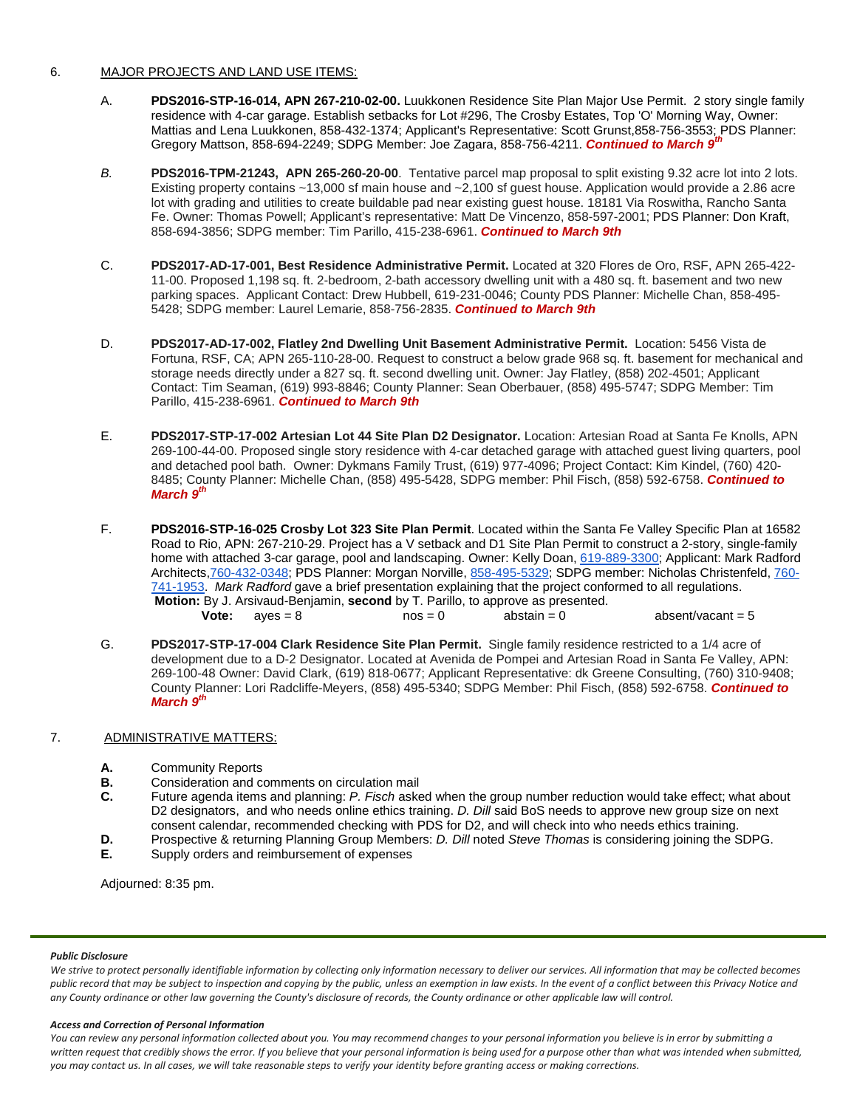# 6. MAJOR PROJECTS AND LAND USE ITEMS:

- A. **PDS2016-STP-16-014, APN 267-210-02-00.** Luukkonen Residence Site Plan Major Use Permit. 2 story single family residence with 4-car garage. Establish setbacks for Lot #296, The Crosby Estates, Top 'O' Morning Way, Owner: Mattias and Lena Luukkonen, [858-432-1374;](tel:858-432-1374) Applicant's Representative: Scott Gruns[t,858-756-3553;](tel:858-756-3553) PDS Planner: Gregory Mattson, [858-694-2249;](tel:858-694-2249) SDPG Member: Joe Zagara, [858-756-4211.](tel:858-756-4211) *Continued to March 9th*
- *B.* **PDS2016-TPM-21243, APN 265-260-20-00**. Tentative parcel map proposal to split existing 9.32 acre lot into 2 lots. Existing property contains ~13,000 sf main house and ~2,100 sf guest house. Application would provide a 2.86 acre lot with grading and utilities to create buildable pad near existing guest house. 18181 Via Roswitha, Rancho Santa Fe. Owner: Thomas Powell; Applicant's representative: Matt De Vincenzo, 858-597-2001; PDS Planner: Don Kraft, 858-694-3856; SDPG member: Tim Parillo[, 415-238-6961.](tel:415-238-6961) *Continued to March 9th*
- C. **PDS2017-AD-17-001, Best Residence Administrative Permit.** Located at 320 Flores de Oro, RSF, APN 265-422- 11-00. Proposed 1,198 sq. ft. 2-bedroom, 2-bath accessory dwelling unit with a 480 sq. ft. basement and two new parking spaces. Applicant Contact: Drew Hubbell, [619-231-0046;](tel:(619)%20231-0046) County PDS Planner: Michelle Chan, [858-495-](tel:(858)%20495-5428) [5428;](tel:(858)%20495-5428) SDPG member: Laurel Lemarie, [858-756-2835.](tel:(858)%20756-2835) *Continued to March 9th*
- D. **PDS2017-AD-17-002, Flatley 2nd Dwelling Unit Basement Administrative Permit.** Location: 5456 Vista de Fortuna, RSF, CA; APN 265-110-28-00. Request to construct a below grade 968 sq. ft. basement for mechanical and storage needs directly under a 827 sq. ft. second dwelling unit. Owner: Jay Flatley, [\(858\) 202-4501;](tel:(858)%20202-4501) Applicant Contact: Tim Seaman, [\(619\) 993-8846;](tel:(619)%20993-8846) County Planner: Sean Oberbauer, [\(858\) 495-5747;](tel:(858)%20495-5747) SDPG Member: Tim Parillo, [415-238-6961.](tel:(858)%20756-2835) *Continued to March 9th*
- E. **PDS2017-STP-17-002 Artesian Lot 44 Site Plan D2 Designator.** Location: Artesian Road at Santa Fe Knolls, APN 269-100-44-00. Proposed single story residence with 4-car detached garage with attached guest living quarters, pool and detached pool bath. Owner: Dykmans Family Trust, [\(619\) 977-4096;](tel:(619)%20977-4096) Project Contact: Kim Kindel, [\(760\) 420-](tel:(760)%20420-8485) [8485;](tel:(760)%20420-8485) County Planner: Michelle Chan, [\(858\) 495-5428,](tel:(858)%20495-5428) SDPG member: Phil Fisch, [\(858\) 592-6758.](tel:(858)%20592-6758) *Continued to March 9th*
- F. **PDS2016-STP-16-025 Crosby Lot 323 Site Plan Permit**. Located within the Santa Fe Valley Specific Plan at 16582 Road to Rio, APN: 267-210-29. Project has a V setback and D1 Site Plan Permit to construct a 2-story, single-family home with attached 3-car garage, pool and landscaping. Owner: Kelly Doan, [619-889-3300;](tel:(619)%20889-3300) Applicant: Mark Radford Architects[,760-432-0348;](tel:(760)%20432-0348) PDS Planner: Morgan Norville, [858-495-5329;](tel:(858)%20495-5329) SDPG member: Nicholas Christenfeld, [760-](tel:(760)%20741-1953) [741-1953.](tel:(760)%20741-1953) *Mark Radford* gave a brief presentation explaining that the project conformed to all regulations. **Motion:** By J. Arsivaud-Benjamin, **second** by T. Parillo, to approve as presented. **Vote:**  $\alpha yes = 8$  nos = 0  $\alpha$  abstain = 0  $\alpha$  absent/vacant = 5
- G. **PDS2017-STP-17-004 Clark Residence Site Plan Permit.** Single family residence restricted to a 1/4 acre of development due to a D-2 Designator. Located at Avenida de Pompei and Artesian Road in Santa Fe Valley, APN: 269-100-48 Owner: David Clark, [\(619\) 818-0677;](tel:(619)%20818-0677) Applicant Representative: dk Greene Consulting, [\(760\) 310-9408;](tel:(760)%20310-9408) County Planner: Lori Radcliffe-Meyers, [\(858\) 495-5340;](tel:(858)%20495-5340) SDPG Member: Phil Fisch, [\(858\) 592-6758.](tel:(858)%20592-6758) *Continued to March 9th*

# 7. ADMINISTRATIVE MATTERS:

- **A.** Community Reports<br>**B.** Consideration and compared
- **B.** Consideration and comments on circulation mail **C.** Future agenda items and planning: *P. Fisch* aske
- **C.** Future agenda items and planning: *P. Fisch* asked when the group number reduction would take effect; what about D2 designators, and who needs online ethics training. *D. Dill* said BoS needs to approve new group size on next consent calendar, recommended checking with PDS for D2, and will check into who needs ethics training.
- **D.** Prospective & returning Planning Group Members: *D. Dill* noted *Steve Thomas* is considering joining the SDPG.
- **E.** Supply orders and reimbursement of expenses

Adjourned: 8:35 pm.

## *Public Disclosure*

*We strive to protect personally identifiable information by collecting only information necessary to deliver our services. All information that may be collected becomes public record that may be subject to inspection and copying by the public, unless an exemption in law exists. In the event of a conflict between this Privacy Notice and any County ordinance or other law governing the County's disclosure of records, the County ordinance or other applicable law will control.*

#### *Access and Correction of Personal Information*

*You can review any personal information collected about you. You may recommend changes to your personal information you believe is in error by submitting a written request that credibly shows the error. If you believe that your personal information is being used for a purpose other than what was intended when submitted, you may contact us. In all cases, we will take reasonable steps to verify your identity before granting access or making corrections.*